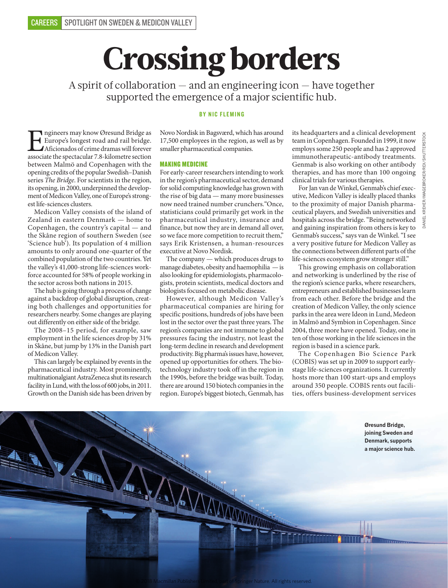# Crossing borders

A spirit of collaboration — and an engineering icon — have together supported the emergence of a major scientific hub.

# BY NIC FLEMING

**EU associate Starting Starting Starting Starting Starting Starting Starting Afficionados of crime dramas will forever associate the spectacular 7.8-kilometre section** Europe's longest road and rail bridge. Aficionados of crime dramas will forever between Malmö and Copenhagen with the opening credits of the popular Swedish–Danish series *The Bridge*. For scientists in the region, its opening, in 2000, underpinned the development of Medicon Valley, one of Europe's strongest life-sciences clusters.

Medicon Valley consists of the island of Zealand in eastern Denmark — home to Copenhagen, the country's capital — and the Skåne region of southern Sweden (see 'Science hub'). Its population of 4 million amounts to only around one-quarter of the combined population of the two countries. Yet the valley's 41,000-strong life-sciences workforce accounted for 58% of people working in the sector across both nations in 2015.

The hub is going through a process of change against a backdrop of global disruption, creating both challenges and opportunities for researchers nearby. Some changes are playing out differently on either side of the bridge.

The 2008–15 period, for example, saw employment in the life sciences drop by 31% in Skåne, but jump by 13% in the Danish part of Medicon Valley.

This can largely be explained by events in the pharmaceutical industry. Most prominently, multinationalgiant AstraZeneca shut its research facility in Lund, with the loss of 600 jobs, in 2011. Growth on the Danish side has been driven by Novo Nordisk in Bagsværd, which has around 17,500 employees in the region, as well as by smaller pharmaceutical companies.

# MAKING MEDICINE

For early-career researchers intending to work in the region's pharmaceutical sector, demand for solid computing knowledge has grown with the rise of big data — many more businesses now need trained number crunchers."Once, statisticians could primarily get work in the pharmaceutical industry, insurance and finance, but now they are in demand all over, so we face more competition to recruit them," says Erik Kristensen, a human-resources executive at Novo Nordisk.

The company — which produces drugs to manage diabetes, obesity and haemophilia — is also looking for epidemiologists, pharmacologists, protein scientists, medical doctors and biologists focused on metabolic disease.

However, although Medicon Valley's pharmaceutical companies are hiring for specific positions, hundreds of jobs have been lost in the sector over the past three years. The region's companies are not immune to global pressures facing the industry, not least the long-term decline in research and development productivity. Big pharma's issues have, however, opened up opportunities for others. The biotechnology industry took off in the region in the 1990s, before the bridge was built. Today, there are around 150 biotech companies in the region. Europe's biggest biotech, Genmab, has

its headquarters and a clinical development team in Copenhagen. Founded in 1999, it now employs some 250 people and has 2 approved immunotherapeutic-antibody treatments. Genmab is also working on other antibody therapies, and has more than 100 ongoing clinical trials for various therapies.

For Jan van de Winkel, Genmab's chief executive, Medicon Valley is ideally placed thanks to the proximity of major Danish pharmaceutical players, and Swedish universities and hospitals across the bridge. "Being networked and gaining inspiration from others is key to Genmab's success," says van de Winkel. "I see a very positive future for Medicon Valley as the connections between different parts of the life-sciences ecosystem grow stronger still."

This growing emphasis on collaboration and networking is underlined by the rise of the region's science parks, where researchers, entrepreneurs and established businesses learn from each other. Before the bridge and the creation of Medicon Valley, the only science parks in the area were Ideon in Lund, Medeon in Malmö and Symbion in Copenhagen. Since 2004, three more have opened. Today, one in ten of those working in the life sciences in the region is based in a science park.

The Copenhagen Bio Science Park (COBIS) was set up in 2009 to support earlystage life-sciences organizations. It currently hosts more than 100 start-ups and employs around 350 people. COBIS rents out facilities, offers business-development services